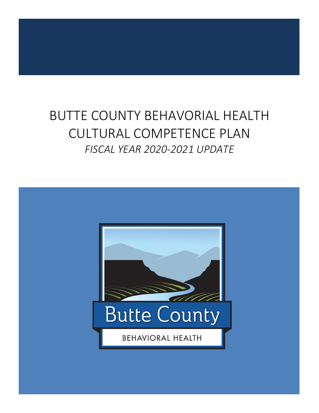# BUTTE COUNTY BEHAVORIAL HEALTH CULTURAL COMPETENCE PLAN *FISCAL YEAR 2020‐2021 UPDATE*

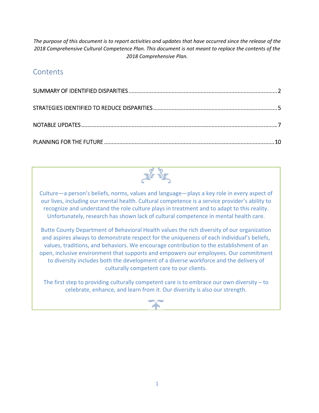The purpose of this document is to report activities and updates that have occurred since the release of the *2018 Comprehensive Cultural Competence Plan. This document is not meant to replace the contents of the 2018 Comprehensive Plan.*

# **Contents**



Culture—a person's beliefs, norms, values and language—plays a key role in every aspect of our lives, including our mental health. Cultural competence is a service provider's ability to recognize and understand the role culture plays in treatment and to adapt to this reality. Unfortunately, research has shown lack of cultural competence in mental health care.

Butte County Department of Behavioral Health values the rich diversity of our organization and aspires always to demonstrate respect for the uniqueness of each individual's beliefs, values, traditions, and behaviors. We encourage contribution to the establishment of an open, inclusive environment that supports and empowers our employees. Our commitment to diversity includes both the development of a diverse workforce and the delivery of culturally competent care to our clients.

The first step to providing culturally competent care is to embrace our own diversity – to celebrate, enhance, and learn from it. Our diversity is also our strength.

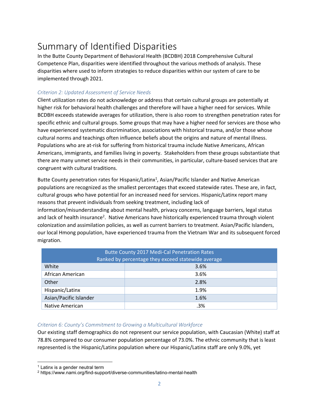# Summary of Identified Disparities

In the Butte County Department of Behavioral Health (BCDBH) 2018 Comprehensive Cultural Competence Plan, disparities were identified throughout the various methods of analysis. These disparities where used to inform strategies to reduce disparities within our system of care to be implemented through 2021.

#### *Criterion 2: Updated Assessment of Service Needs*

Client utilization rates do not acknowledge or address that certain cultural groups are potentially at higher risk for behavioral health challenges and therefore will have a higher need for services. While BCDBH exceeds statewide averages for utilization, there is also room to strengthen penetration rates for specific ethnic and cultural groups. Some groups that may have a higher need for services are those who have experienced systematic discrimination, associations with historical trauma, and/or those whose cultural norms and teachings often influence beliefs about the origins and nature of mental illness. Populations who are at‐risk for suffering from historical trauma include Native Americans, African Americans, immigrants, and families living in poverty. Stakeholders from these groups substantiate that there are many unmet service needs in their communities, in particular, culture‐based services that are congruent with cultural traditions.

Butte County penetration rates for Hispanic/Latinx<sup>1</sup>, Asian/Pacific Islander and Native American populations are recognized as the smallest percentages that exceed statewide rates. These are, in fact, cultural groups who have potential for an increased need for services. Hispanic/Latinx report many reasons that prevent individuals from seeking treatment, including lack of

information/misunderstanding about mental health, privacy concerns, language barriers, legal status and lack of health insurance<sup>2</sup>. Native Americans have historically experienced trauma through violent colonization and assimilation policies, as well as current barriers to treatment. Asian/Pacific Islanders, our local Hmong population, have experienced trauma from the Vietnam War and its subsequent forced migration.

| <b>Butte County 2017 Medi-Cal Penetration Rates</b><br>Ranked by percentage they exceed statewide average |      |  |  |
|-----------------------------------------------------------------------------------------------------------|------|--|--|
| White                                                                                                     | 3.6% |  |  |
| African American                                                                                          | 3.6% |  |  |
| Other                                                                                                     | 2.8% |  |  |
| Hispanic/Latinx                                                                                           | 1.9% |  |  |
| Asian/Pacific Islander                                                                                    | 1.6% |  |  |
| Native American                                                                                           | .3%  |  |  |

#### *Criterion 6: County's Commitment to Growing a Multicultural Workforce*

Our existing staff demographics do not represent our service population, with Caucasian (White) staff at 78.8% compared to our consumer population percentage of 73.0%. The ethnic community that is least represented is the Hispanic/Latinx population where our Hispanic/Latinx staff are only 9.0%, yet

  $1$  Latinx is a gender neutral term

<sup>2</sup> https://www.nami.org/find-support/diverse-communities/latino-mental-health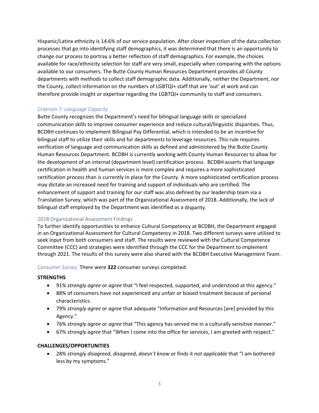Hispanic/Latinx ethnicity is 14.6% of our service population. After closer inspection of the data collection processes that go into identifying staff demographics, it was determined that there is an opportunity to change our process to portray a better reflection of staff demographics. For example, the choices available for race/ethnicity selection for staff are very small, especially when comparing with the options available to our consumers. The Butte County Human Resources Department provides all County departments with methods to collect staff demographic data. Additionally, neither the Department, nor the County, collect information on the numbers of LGBTQI+ staff that are 'out' at work and can therefore provide insight or expertise regarding the LGBTQI+ community to staff and consumers.

#### *Criterion 7: Language Capacity*

Butte County recognizes the Department's need for bilingual language skills or specialized communication skills to improve consumer experience and reduce cultural/linguistic disparities. Thus, BCDBH continues to implement Bilingual Pay Differential, which is intended to be an incentive for bilingual staff to utilize their skills and for departments to leverage resources. This rule requires verification of language and communication skills as defined and administered by the Butte County Human Resources Department. BCDBH is currently working with County Human Resources to allow for the development of an internal (department level) certification process. BCDBH asserts that language certification in health and human services is more complex and requires a more sophisticated certification process than is currently in place for the County. A more sophisticated certification process may dictate an increased need for training and support of individuals who are certified. The enhancement of support and training for our staff was also defined by our leadership team via a Translation Survey, which was part of the Organizational Assessment of 2018. Additionally, the lack of bilingual staff employed by the Department was identified as a disparity.

#### 2018 Organizational Assessment Findings

To further identify opportunities to enhance Cultural Competency at BCDBH, the Department engaged in an Organizational Assessment for Cultural Competency in 2018. Two different surveys were utilized to seek input from both consumers and staff. The results were reviewed with the Cultural Competence Committee (CCC) and strategies were identified through the CCC for the Department to implement through 2021. The results of this survey were also shared with the BCDBH Executive Management Team.

*Consumer Survey:* There were **322** consumer surveys completed.

#### **STRENGTHS**

- 91% *strongly agree* or *agree* that "I feel respected, supported, and understood at this agency."
- 88% of consumers have not experienced any unfair or biased treatment because of personal characteristics.
- 79% *strongly agree* or *agree* that adequate "Information and Resources [are] provided by this Agency."
- 76% *strongly agree* or *agree* that "This agency has served me in a culturally sensitive manner."
- 67% *strongly agree* that "When I come into the office for services, I am greeted with respect."

#### **CHALLENGES/OPPORTUNITIES**

 28% *strongly disagreed*, *disagreed*, *doesn't know* or finds it *not applicable* that "I am bothered less by my symptoms."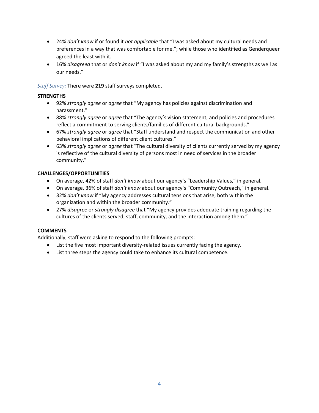- 24% *don't know* if or found it *not applicable* that "I was asked about my cultural needs and preferences in a way that was comfortable for me."; while those who identified as Genderqueer agreed the least with it.
- 16% *disagreed* that or *don't know* if "I was asked about my and my family's strengths as well as our needs."

*Staff Survey:* There were **219** staff surveys completed.

#### **STRENGTHS**

- 92% *strongly agree* or *agree* that "My agency has policies against discrimination and harassment."
- 88% *strongly agree* or *agree* that "The agency's vision statement, and policies and procedures reflect a commitment to serving clients/families of different cultural backgrounds."
- 67% *strongly agree* or *agree* that "Staff understand and respect the communication and other behavioral implications of different client cultures."
- 63% *strongly agree* or *agree* that "The cultural diversity of clients currently served by my agency is reflective of the cultural diversity of persons most in need of services in the broader community."

#### **CHALLENGES/OPPORTUNITIES**

- On average, 42% of staff *don't know* about our agency's "Leadership Values," in general.
- On average, 36% of staff *don't know* about our agency's "Community Outreach," in general.
- 32% *don't know* if "My agency addresses cultural tensions that arise, both within the organization and within the broader community."
- 27% *disagree* or *strongly disagree* that "My agency provides adequate training regarding the cultures of the clients served, staff, community, and the interaction among them."

#### **COMMENTS**

Additionally, staff were asking to respond to the following prompts:

- List the five most important diversity-related issues currently facing the agency.
- List three steps the agency could take to enhance its cultural competence.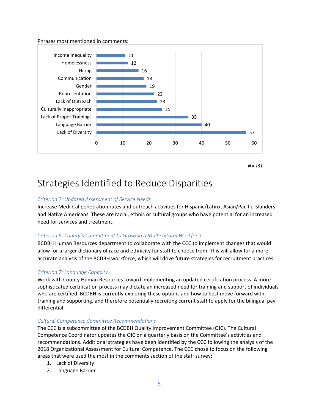Phrases most mentioned in comments:



*N = 191*

# Strategies Identified to Reduce Disparities

#### *Criterion 2: Updated Assessment of Service Needs*

Increase Medi‐Cal penetration rates and outreach activities for Hispanic/Latinx, Asian/Pacific Islanders and Native Americans. These are racial, ethnic or cultural groups who have potential for an increased need for services and treatment.

#### *Criterion 6: County's Commitment to Growing a Multicultural Workforce*

BCDBH Human Resources department to collaborate with the CCC to implement changes that would allow for a larger dictionary of race and ethnicity for staff to choose from. This will allow for a more accurate analysis of the BCDBH workforce, which will drive future strategies for recruitment practices.

#### *Criterion 7: Language Capacity*

Work with County Human Resources toward implementing an updated certification process. A more sophisticated certification process may dictate an increased need for training and support of individuals who are certified. BCDBH is currently exploring these options and how to best move forward with training and supporting, and therefore potentially recruiting current staff to apply for the bilingual pay differential.

#### *Cultural Competence Committee Recommendations*

The CCC is a subcommittee of the BCDBH Quality Improvement Committee (QIC). The Cultural Competence Coordinator updates the QIC on a quarterly basis on the Committee's activities and recommendations. Additional strategies have been identified by the CCC following the analysis of the 2018 Organizational Assessment for Cultural Competence. The CCC chose to focus on the following areas that were used the most in the comments section of the staff survey:

- 1. Lack of Diversity
- 2. Language Barrier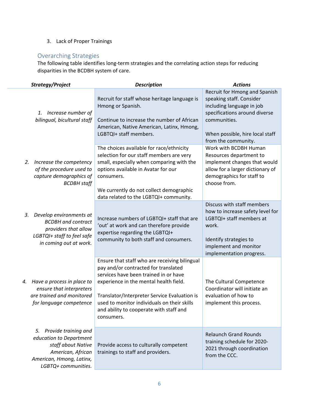### 3. Lack of Proper Trainings

## Overarching Strategies

The following table identifies long‐term strategies and the correlating action steps for reducing disparities in the BCDBH system of care.

| Strategy/Project                                        |                                                                                                                                                     | <b>Description</b>                                                                                                                                                                                                                                                                                                               | <b>Actions</b>                                                                                                                                                                                    |  |
|---------------------------------------------------------|-----------------------------------------------------------------------------------------------------------------------------------------------------|----------------------------------------------------------------------------------------------------------------------------------------------------------------------------------------------------------------------------------------------------------------------------------------------------------------------------------|---------------------------------------------------------------------------------------------------------------------------------------------------------------------------------------------------|--|
| Increase number of<br>1.<br>bilingual, bicultural staff |                                                                                                                                                     | Recruit for staff whose heritage language is<br>Hmong or Spanish.<br>Continue to increase the number of African<br>American, Native American, Latinx, Hmong,<br>LGBTQI+ staff members.                                                                                                                                           | Recruit for Hmong and Spanish<br>speaking staff. Consider<br>including language in job<br>specifications around diverse<br>communities.<br>When possible, hire local staff<br>from the community. |  |
| 2.                                                      | Increase the competency<br>of the procedure used to<br>capture demographics of<br><b>BCDBH</b> staff                                                | The choices available for race/ethnicity<br>selection for our staff members are very<br>small, especially when comparing with the<br>options available in Avatar for our<br>consumers.<br>We currently do not collect demographic<br>data related to the LGBTQI+ community.                                                      | Work with BCDBH Human<br>Resources department to<br>implement changes that would<br>allow for a larger dictionary of<br>demographics for staff to<br>choose from.                                 |  |
| 3.                                                      | Develop environments at<br><b>BCDBH</b> and contract<br>providers that allow<br>LGBTQI+ staff to feel safe<br>in coming out at work.                | Increase numbers of LGBTQI+ staff that are<br>'out' at work and can therefore provide<br>expertise regarding the LGBTQI+<br>community to both staff and consumers.                                                                                                                                                               | Discuss with staff members<br>how to increase safety level for<br>LGBTQI+ staff members at<br>work.<br>Identify strategies to<br>implement and monitor<br>implementation progress.                |  |
| 4.                                                      | Have a process in place to<br>ensure that interpreters<br>are trained and monitored<br>for language competence                                      | Ensure that staff who are receiving bilingual<br>pay and/or contracted for translated<br>services have been trained in or have<br>experience in the mental health field.<br>Translator/Interpreter Service Evaluation is<br>used to monitor individuals on their skills<br>and ability to cooperate with staff and<br>consumers. | The Cultural Competence<br>Coordinator will initiate an<br>evaluation of how to<br>implement this process.                                                                                        |  |
|                                                         | Provide training and<br>5.<br>education to Department<br>staff about Native<br>American, African<br>American, Hmong, Latinx,<br>LGBTQ+ communities. | Provide access to culturally competent<br>trainings to staff and providers.                                                                                                                                                                                                                                                      | <b>Relaunch Grand Rounds</b><br>training schedule for 2020-<br>2021 through coordination<br>from the CCC.                                                                                         |  |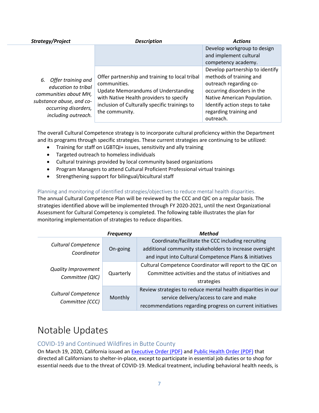| Strategy/Project                                                                                                                                 | <b>Description</b>                                                                                                                                                                                                         | <b>Actions</b>                                                                                                                                                                                                            |
|--------------------------------------------------------------------------------------------------------------------------------------------------|----------------------------------------------------------------------------------------------------------------------------------------------------------------------------------------------------------------------------|---------------------------------------------------------------------------------------------------------------------------------------------------------------------------------------------------------------------------|
|                                                                                                                                                  |                                                                                                                                                                                                                            | Develop workgroup to design<br>and implement cultural<br>competency academy.                                                                                                                                              |
| 6. Offer training and<br>education to tribal<br>communities about MH,<br>substance abuse, and co-<br>occurring disorders,<br>including outreach. | Offer partnership and training to local tribal<br>communities.<br><b>Update Memorandums of Understanding</b><br>with Native Health providers to specify<br>inclusion of Culturally specific trainings to<br>the community. | Develop partnership to identify<br>methods of training and<br>outreach regarding co-<br>occurring disorders in the<br>Native American Population.<br>Identify action steps to take<br>regarding training and<br>outreach. |

The overall Cultural Competence strategy is to incorporate cultural proficiency within the Department and its programs through specific strategies. These current strategies are continuing to be utilized:

- Training for staff on LGBTQI+ issues, sensitivity and ally training
- Targeted outreach to homeless individuals
- Cultural trainings provided by local community based organizations
- Program Managers to attend Cultural Proficient Professional virtual trainings
- Strengthening support for bilingual/bicultural staff

Planning and monitoring of identified strategies/objectives to reduce mental health disparities.

The annual Cultural Competence Plan will be reviewed by the CCC and QIC on a regular basis. The strategies identified above will be implemented through FY 2020‐2021, until the next Organizational Assessment for Cultural Competency is completed. The following table illustrates the plan for monitoring implementation of strategies to reduce disparities.

|                                           | <b>Frequency</b>                                         | <b>Method</b>                                                |
|-------------------------------------------|----------------------------------------------------------|--------------------------------------------------------------|
|                                           |                                                          | Coordinate/facilitate the CCC including recruiting           |
| <b>Cultural Competence</b><br>Coordinator | On-going                                                 | additional community stakeholders to increase oversight      |
|                                           |                                                          | and input into Cultural Competence Plans & initiatives       |
|                                           | Quarterly                                                | Cultural Competence Coordinator will report to the QIC on    |
| <b>Quality Improvement</b>                |                                                          | Committee activities and the status of initiatives and       |
| Committee (QIC)                           |                                                          | strategies                                                   |
|                                           | <b>Cultural Competence</b><br>Monthly<br>Committee (CCC) | Review strategies to reduce mental health disparities in our |
|                                           |                                                          | service delivery/access to care and make                     |
|                                           |                                                          | recommendations regarding progress on current initiatives    |

# Notable Updates

### COVID‐19 and Continued Wildfires in Butte County

On March 19, 2020, California issued an Executive Order (PDF) and Public Health Order (PDF) that directed all Californians to shelter‐in‐place, except to participate in essential job duties or to shop for essential needs due to the threat of COVID‐19. Medical treatment, including behavioral health needs, is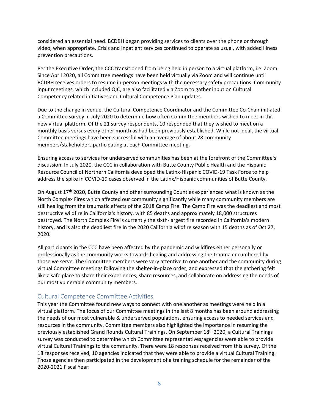considered an essential need. BCDBH began providing services to clients over the phone or through video, when appropriate. Crisis and Inpatient services continued to operate as usual, with added illness prevention precautions.

Per the Executive Order, the CCC transitioned from being held in person to a virtual platform, i.e. Zoom. Since April 2020, all Committee meetings have been held virtually via Zoom and will continue until BCDBH receives orders to resume in‐person meetings with the necessary safety precautions. Community input meetings, which included QIC, are also facilitated via Zoom to gather input on Cultural Competency related initiatives and Cultural Competence Plan updates.

Due to the change in venue, the Cultural Competence Coordinator and the Committee Co-Chair initiated a Committee survey in July 2020 to determine how often Committee members wished to meet in this new virtual platform. Of the 21 survey respondents, 10 responded that they wished to meet on a monthly basis versus every other month as had been previously established. While not ideal, the virtual Committee meetings have been successful with an average of about 28 community members/stakeholders participating at each Committee meeting.

Ensuring access to services for underserved communities has been at the forefront of the Committee's discussion. In July 2020, the CCC in collaboration with Butte County Public Health and the Hispanic Resource Council of Northern California developed the Latinx‐Hispanic COVID‐19 Task Force to help address the spike in COVID‐19 cases observed in the Latinx/Hispanic communities of Butte County.

On August 17<sup>th</sup> 2020, Butte County and other surrounding Counties experienced what is known as the North Complex Fires which affected our community significantly while many community members are still healing from the traumatic effects of the 2018 Camp Fire. The Camp Fire was the deadliest and most destructive wildfire in California's history, with 85 deaths and approximately 18,000 structures destroyed. The North Complex Fire is currently the sixth-largest fire recorded in California's modern history, and is also the deadliest fire in the 2020 California wildfire season with 15 deaths as of Oct 27, 2020.

All participants in the CCC have been affected by the pandemic and wildfires either personally or professionally as the community works towards healing and addressing the trauma encumbered by those we serve. The Committee members were very attentive to one another and the community during virtual Committee meetings following the shelter‐in‐place order, and expressed that the gathering felt like a safe place to share their experiences, share resources, and collaborate on addressing the needs of our most vulnerable community members.

#### Cultural Competence Committee Activities

This year the Committee found new ways to connect with one another as meetings were held in a virtual platform. The focus of our Committee meetings in the last 8 months has been around addressing the needs of our most vulnerable & underserved populations, ensuring access to needed services and resources in the community. Committee members also highlighted the importance in resuming the previously established Grand Rounds Cultural Trainings. On September 18<sup>th</sup> 2020, a Cultural Trainings survey was conducted to determine which Committee representatives/agencies were able to provide virtual Cultural Trainings to the community. There were 18 responses received from this survey. Of the 18 responses received, 10 agencies indicated that they were able to provide a virtual Cultural Training. Those agencies then participated in the development of a training schedule for the remainder of the 2020‐2021 Fiscal Year: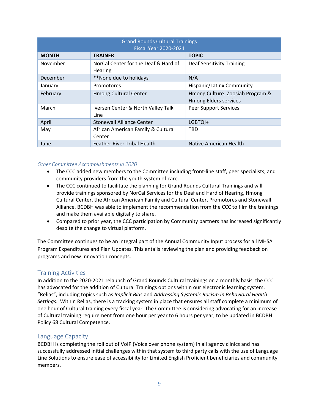| <b>Grand Rounds Cultural Trainings</b><br><b>Fiscal Year 2020-2021</b> |                                                 |                                                                  |  |  |
|------------------------------------------------------------------------|-------------------------------------------------|------------------------------------------------------------------|--|--|
| <b>MONTH</b>                                                           | <b>TRAINER</b>                                  | <b>TOPIC</b>                                                     |  |  |
| November                                                               | NorCal Center for the Deaf & Hard of<br>Hearing | <b>Deaf Sensitivity Training</b>                                 |  |  |
| December                                                               | **None due to holidays                          | N/A                                                              |  |  |
| January                                                                | Promotores                                      | Hispanic/Latinx Community                                        |  |  |
| February                                                               | <b>Hmong Cultural Center</b>                    | Hmong Culture: Zoosiab Program &<br><b>Hmong Elders services</b> |  |  |
| March                                                                  | Iversen Center & North Valley Talk<br>Line      | <b>Peer Support Services</b>                                     |  |  |
| April                                                                  | Stonewall Alliance Center                       | LGBTQI+                                                          |  |  |
| May                                                                    | African American Family & Cultural<br>Center    | TBD                                                              |  |  |
| June                                                                   | <b>Feather River Tribal Health</b>              | Native American Health                                           |  |  |

#### *Other Committee Accomplishments in 2020*

- The CCC added new members to the Committee including front-line staff, peer specialists, and community providers from the youth system of care.
- The CCC continued to facilitate the planning for Grand Rounds Cultural Trainings and will provide trainings sponsored by NorCal Services for the Deaf and Hard of Hearing, Hmong Cultural Center, the African American Family and Cultural Center, Promotores and Stonewall Alliance. BCDBH was able to implement the recommendation from the CCC to film the trainings and make them available digitally to share.
- Compared to prior year, the CCC participation by Community partners has increased significantly despite the change to virtual platform.

The Committee continues to be an integral part of the Annual Community Input process for all MHSA Program Expenditures and Plan Updates. This entails reviewing the plan and providing feedback on programs and new Innovation concepts.

### Training Activities

In addition to the 2020‐2021 relaunch of Grand Rounds Cultural trainings on a monthly basis, the CCC has advocated for the addition of Cultural Trainings options within our electronic learning system, "Relias", including topics such as *Implicit Bias* and *Addressing Systemic Racism in Behavioral Health Settings*. Within Relias, there is a tracking system in place that ensures all staff complete a minimum of one hour of Cultural training every fiscal year. The Committee is considering advocating for an increase of Cultural training requirement from one hour per year to 6 hours per year, to be updated in BCDBH Policy 68 Cultural Competence.

#### Language Capacity

BCDBH is completing the roll out of VoIP (Voice over phone system) in all agency clinics and has successfully addressed initial challenges within that system to third party calls with the use of Language Line Solutions to ensure ease of accessibility for Limited English Proficient beneficiaries and community members.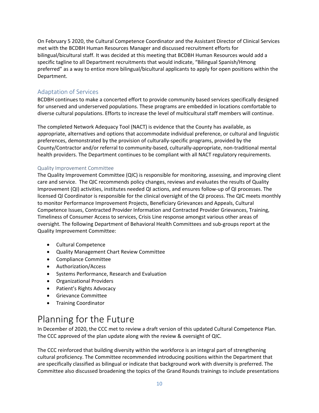On February 5 2020, the Cultural Competence Coordinator and the Assistant Director of Clinical Services met with the BCDBH Human Resources Manager and discussed recruitment efforts for bilingual/bicultural staff. It was decided at this meeting that BCDBH Human Resources would add a specific tagline to all Department recruitments that would indicate, "Bilingual Spanish/Hmong preferred" as a way to entice more bilingual/bicultural applicants to apply for open positions within the Department.

### Adaptation of Services

BCDBH continues to make a concerted effort to provide community based services specifically designed for unserved and underserved populations. These programs are embedded in locations comfortable to diverse cultural populations. Efforts to increase the level of multicultural staff members will continue.

The completed Network Adequacy Tool (NACT) is evidence that the County has available, as appropriate, alternatives and options that accommodate individual preference, or cultural and linguistic preferences, demonstrated by the provision of culturally‐specific programs, provided by the County/Contractor and/or referral to community‐based, culturally‐appropriate, non‐traditional mental health providers. The Department continues to be compliant with all NACT regulatory requirements.

#### Quality Improvement Committee

The Quality Improvement Committee (QIC) is responsible for monitoring, assessing, and improving client care and service. The QIC recommends policy changes, reviews and evaluates the results of Quality Improvement (QI) activities, institutes needed QI actions, and ensures follow‐up of QI processes. The licensed QI Coordinator is responsible for the clinical oversight of the QI process. The QIC meets monthly to monitor Performance Improvement Projects, Beneficiary Grievances and Appeals, Cultural Competence Issues, Contracted Provider Information and Contracted Provider Grievances, Training, Timeliness of Consumer Access to services, Crisis Line response amongst various other areas of oversight. The following Department of Behavioral Health Committees and sub‐groups report at the Quality Improvement Committee:

- Cultural Competence
- Quality Management Chart Review Committee
- Compliance Committee
- Authorization/Access
- Systems Performance, Research and Evaluation
- Organizational Providers
- Patient's Rights Advocacy
- Grievance Committee
- **•** Training Coordinator

# Planning for the Future

In December of 2020, the CCC met to review a draft version of this updated Cultural Competence Plan. The CCC approved of the plan update along with the review & oversight of QIC.

The CCC reinforced that building diversity within the workforce is an integral part of strengthening cultural proficiency. The Committee recommended introducing positions within the Department that are specifically classified as bilingual or indicate that background work with diversity is preferred. The Committee also discussed broadening the topics of the Grand Rounds trainings to include presentations